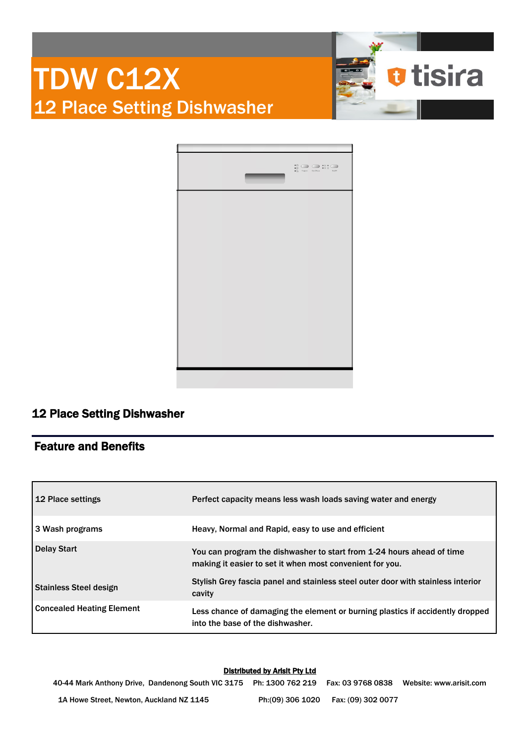



### 12 Place Setting Dishwasher

### Feature and Benefits

| 12 Place settings                | Perfect capacity means less wash loads saving water and energy                                                                    |
|----------------------------------|-----------------------------------------------------------------------------------------------------------------------------------|
| 3 Wash programs                  | Heavy, Normal and Rapid, easy to use and efficient                                                                                |
| Delay Start                      | You can program the dishwasher to start from 1-24 hours ahead of time<br>making it easier to set it when most convenient for you. |
| <b>Stainless Steel design</b>    | Stylish Grey fascia panel and stainless steel outer door with stainless interior<br>cavity                                        |
| <b>Concealed Heating Element</b> | Less chance of damaging the element or burning plastics if accidently dropped<br>into the base of the dishwasher.                 |

### Distributed by Arisit Pty Ltd